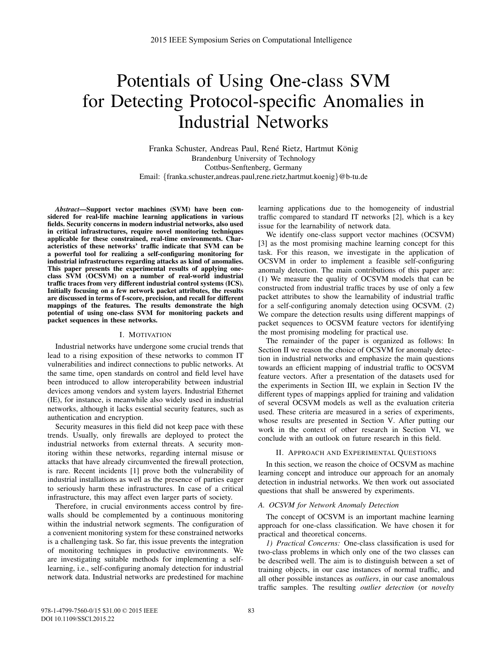# Potentials of Using One-class SVM for Detecting Protocol-specific Anomalies in Industrial Networks

Franka Schuster, Andreas Paul, René Rietz, Hartmut König Brandenburg University of Technology Cottbus-Senftenberg, Germany Email: {franka.schuster,andreas.paul,rene.rietz,hartmut.koenig}@b-tu.de

*Abstract*—Support vector machines (SVM) have been considered for real-life machine learning applications in various fields. Security concerns in modern industrial networks, also used in critical infrastructures, require novel monitoring techniques applicable for these constrained, real-time environments. Characteristics of these networks' traffic indicate that SVM can be a powerful tool for realizing a self-configuring monitoring for industrial infrastructures regarding attacks as kind of anomalies. This paper presents the experimental results of applying oneclass SVM (OCSVM) on a number of real-world industrial traffic traces from very different industrial control systems (ICS). Initially focusing on a few network packet attributes, the results are discussed in terms of f-score, precision, and recall for different mappings of the features. The results demonstrate the high potential of using one-class SVM for monitoring packets and packet sequences in these networks.

#### I. MOTIVATION

Industrial networks have undergone some crucial trends that lead to a rising exposition of these networks to common IT vulnerabilities and indirect connections to public networks. At the same time, open standards on control and field level have been introduced to allow interoperability between industrial devices among vendors and system layers. Industrial Ethernet (IE), for instance, is meanwhile also widely used in industrial networks, although it lacks essential security features, such as authentication and encryption.

Security measures in this field did not keep pace with these trends. Usually, only firewalls are deployed to protect the industrial networks from external threats. A security monitoring within these networks, regarding internal misuse or attacks that have already circumvented the firewall protection, is rare. Recent incidents [1] prove both the vulnerability of industrial installations as well as the presence of parties eager to seriously harm these infrastructures. In case of a critical infrastructure, this may affect even larger parts of society.

Therefore, in crucial environments access control by firewalls should be complemented by a continuous monitoring within the industrial network segments. The configuration of a convenient monitoring system for these constrained networks is a challenging task. So far, this issue prevents the integration of monitoring techniques in productive environments. We are investigating suitable methods for implementing a selflearning, i.e., self-configuring anomaly detection for industrial network data. Industrial networks are predestined for machine learning applications due to the homogeneity of industrial traffic compared to standard IT networks [2], which is a key issue for the learnability of network data.

We identify one-class support vector machines (OCSVM) [3] as the most promising machine learning concept for this task. For this reason, we investigate in the application of OCSVM in order to implement a feasible self-configuring anomaly detection. The main contributions of this paper are: (1) We measure the quality of OCSVM models that can be constructed from industrial traffic traces by use of only a few packet attributes to show the learnability of industrial traffic for a self-configuring anomaly detection using OCSVM. (2) We compare the detection results using different mappings of packet sequences to OCSVM feature vectors for identifying the most promising modeling for practical use.

The remainder of the paper is organized as follows: In Section II we reason the choice of OCSVM for anomaly detection in industrial networks and emphasize the main questions towards an efficient mapping of industrial traffic to OCSVM feature vectors. After a presentation of the datasets used for the experiments in Section III, we explain in Section IV the different types of mappings applied for training and validation of several OCSVM models as well as the evaluation criteria used. These criteria are measured in a series of experiments, whose results are presented in Section V. After putting our work in the context of other research in Section VI, we conclude with an outlook on future research in this field.

### II. APPROACH AND EXPERIMENTAL QUESTIONS

In this section, we reason the choice of OCSVM as machine learning concept and introduce our approach for an anomaly detection in industrial networks. We then work out associated questions that shall be answered by experiments.

#### *A. OCSVM for Network Anomaly Detection*

The concept of OCSVM is an important machine learning approach for one-class classification. We have chosen it for practical and theoretical concerns.

*1) Practical Concerns:* One-class classification is used for two-class problems in which only one of the two classes can be described well. The aim is to distinguish between a set of training objects, in our case instances of normal traffic, and all other possible instances as *outliers*, in our case anomalous traffic samples. The resulting *outlier detection* (or *novelty*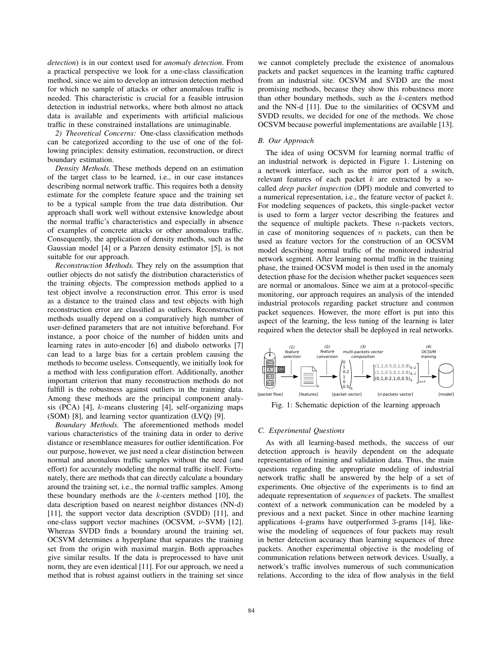*detection*) is in our context used for *anomaly detection*. From a practical perspective we look for a one-class classification method, since we aim to develop an intrusion detection method for which no sample of attacks or other anomalous traffic is needed. This characteristic is crucial for a feasible intrusion detection in industrial networks, where both almost no attack data is available and experiments with artificial malicious traffic in these constrained installations are unimaginable.

*2) Theoretical Concerns:* One-class classification methods can be categorized according to the use of one of the following principles: density estimation, reconstruction, or direct boundary estimation.

*Density Methods.* These methods depend on an estimation of the target class to be learned, i.e., in our case instances describing normal network traffic. This requires both a density estimate for the complete feature space and the training set to be a typical sample from the true data distribution. Our approach shall work well without extensive knowledge about the normal traffic's characteristics and especially in absence of examples of concrete attacks or other anomalous traffic. Consequently, the application of density methods, such as the Gaussian model [4] or a Parzen density estimator [5], is not suitable for our approach.

*Reconstruction Methods.* They rely on the assumption that outlier objects do not satisfy the distribution characteristics of the training objects. The compression methods applied to a test object involve a reconstruction error. This error is used as a distance to the trained class and test objects with high reconstruction error are classified as outliers. Reconstruction methods usually depend on a comparatively high number of user-defined parameters that are not intuitive beforehand. For instance, a poor choice of the number of hidden units and learning rates in auto-encoder [6] and diabolo networks [7] can lead to a large bias for a certain problem causing the methods to become useless. Consequently, we initially look for a method with less configuration effort. Additionally, another important criterion that many reconstruction methods do not fulfill is the robustness against outliers in the training data. Among these methods are the principal component analysis (PCA) [4], k-means clustering [4], self-organizing maps (SOM) [8], and learning vector quantization (LVQ) [9].

*Boundary Methods.* The aforementioned methods model various characteristics of the training data in order to derive distance or resemblance measures for outlier identification. For our purpose, however, we just need a clear distinction between normal and anomalous traffic samples without the need (and effort) for accurately modeling the normal traffic itself. Fortunately, there are methods that can directly calculate a boundary around the training set, i.e., the normal traffic samples. Among these boundary methods are the  $k$ -centers method [10], the data description based on nearest neighbor distances (NN-d) [11], the support vector data description (SVDD) [11], and one-class support vector machines (OCSVM, ν-SVM) [12]. Whereas SVDD finds a boundary around the training set, OCSVM determines a hyperplane that separates the training set from the origin with maximal margin. Both approaches give similar results. If the data is preprocessed to have unit norm, they are even identical [11]. For our approach, we need a method that is robust against outliers in the training set since we cannot completely preclude the existence of anomalous packets and packet sequences in the learning traffic captured from an industrial site. OCSVM and SVDD are the most promising methods, because they show this robustness more than other boundary methods, such as the  $k$ -centers method and the NN-d [11]. Due to the similarities of OCSVM and SVDD results, we decided for one of the methods. We chose OCSVM because powerful implementations are available [13].

#### *B. Our Approach*

The idea of using OCSVM for learning normal traffic of an industrial network is depicted in Figure 1. Listening on a network interface, such as the mirror port of a switch, relevant features of each packet  $k$  are extracted by a socalled *deep packet inspection* (DPI) module and converted to a numerical representation, i.e., the feature vector of packet k. For modeling sequences of packets, this single-packet vector is used to form a larger vector describing the features and the sequence of multiple packets. These  $n$ -packets vectors, in case of monitoring sequences of  $n$  packets, can then be used as feature vectors for the construction of an OCSVM model describing normal traffic of the monitored industrial network segment. After learning normal traffic in the training phase, the trained OCSVM model is then used in the anomaly detection phase for the decision whether packet sequences seen are normal or anomalous. Since we aim at a protocol-specific monitoring, our approach requires an analysis of the intended industrial protocols regarding packet structure and common packet sequences. However, the more effort is put into this aspect of the learning, the less tuning of the learning is later required when the detector shall be deployed in real networks.



Fig. 1: Schematic depiction of the learning approach

#### *C. Experimental Questions*

As with all learning-based methods, the success of our detection approach is heavily dependent on the adequate representation of training and validation data. Thus, the main questions regarding the appropriate modeling of industrial network traffic shall be answered by the help of a set of experiments. One objective of the experiments is to find an adequate representation of *sequences* of packets. The smallest context of a network communication can be modeled by a previous and a next packet. Since in other machine learning applications 4-grams have outperformed 3-grams [14], likewise the modeling of sequences of four packets may result in better detection accuracy than learning sequences of three packets. Another experimental objective is the modeling of communication relations between network devices. Usually, a network's traffic involves numerous of such communication relations. According to the idea of flow analysis in the field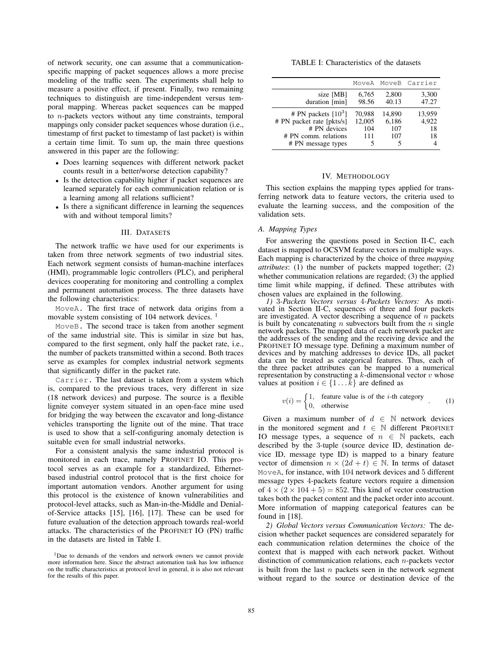of network security, one can assume that a communicationspecific mapping of packet sequences allows a more precise modeling of the traffic seen. The experiments shall help to measure a positive effect, if present. Finally, two remaining techniques to distinguish are time-independent versus temporal mapping. Whereas packet sequences can be mapped to n-packets vectors without any time constraints, temporal mappings only consider packet sequences whose duration (i.e., timestamp of first packet to timestamp of last packet) is within a certain time limit. To sum up, the main three questions answered in this paper are the following:

- Does learning sequences with different network packet counts result in a better/worse detection capability?
- Is the detection capability higher if packet sequences are learned separately for each communication relation or is a learning among all relations sufficient?
- Is there a significant difference in learning the sequences with and without temporal limits?

### III. DATASETS

The network traffic we have used for our experiments is taken from three network segments of two industrial sites. Each network segment consists of human-machine interfaces (HMI), programmable logic controllers (PLC), and peripheral devices cooperating for monitoring and controlling a complex and permanent automation process. The three datasets have the following characteristics:

MoveA. The first trace of network data origins from a movable system consisting of 104 network devices.<sup>1</sup>

MoveB. The second trace is taken from another segment of the same industrial site. This is similar in size but has, compared to the first segment, only half the packet rate, i.e., the number of packets transmitted within a second. Both traces serve as examples for complex industrial network segments that significantly differ in the packet rate.

Carrier. The last dataset is taken from a system which is, compared to the previous traces, very different in size (18 network devices) and purpose. The source is a flexible lignite conveyer system situated in an open-face mine used for bridging the way between the excavator and long-distance vehicles transporting the lignite out of the mine. That trace is used to show that a self-configuring anomaly detection is suitable even for small industrial networks.

For a consistent analysis the same industrial protocol is monitored in each trace, namely PROFINET IO. This protocol serves as an example for a standardized, Ethernetbased industrial control protocol that is the first choice for important automation vendors. Another argument for using this protocol is the existence of known vulnerabilities and protocol-level attacks, such as Man-in-the-Middle and Denialof-Service attacks [15], [16], [17]. These can be used for future evaluation of the detection approach towards real-world attacks. The characteristics of the PROFINET IO (PN) traffic in the datasets are listed in Table I.

TABLE I: Characteristics of the datasets

|                                                                                                                  |                                     |                               | MoveA MoveB Carrier         |
|------------------------------------------------------------------------------------------------------------------|-------------------------------------|-------------------------------|-----------------------------|
| size [MB]<br>duration [min]                                                                                      | 6,765<br>98.56                      | 2,800<br>40.13                | 3,300<br>47.27              |
| # PN packets $[10^3]$<br># PN packet rate [pkts/s]<br># PN devices<br># PN comm. relations<br># PN message types | 70,988<br>12,005<br>104<br>111<br>5 | 14,890<br>6,186<br>107<br>107 | 13,959<br>4.922<br>18<br>18 |

#### IV. METHODOLOGY

This section explains the mapping types applied for transferring network data to feature vectors, the criteria used to evaluate the learning success, and the composition of the validation sets.

#### *A. Mapping Types*

For answering the questions posed in Section II-C, each dataset is mapped to OCSVM feature vectors in multiple ways. Each mapping is characterized by the choice of three *mapping attributes*: (1) the number of packets mapped together; (2) whether communication relations are regarded; (3) the applied time limit while mapping, if defined. These attributes with chosen values are explained in the following.

*1)* 3*-Packets Vectors versus* 4*-Packets Vectors:* As motivated in Section II-C, sequences of three and four packets are investigated. A vector describing a sequence of  $n$  packets is built by concatenating n subvectors built from the  $\overline{n}$  single network packets. The mapped data of each network packet are the addresses of the sending and the receiving device and the PROFINET IO message type. Defining a maximum number of devices and by matching addresses to device IDs, all packet data can be treated as categorical features. Thus, each of the three packet attributes can be mapped to a numerical representation by constructing a  $k$ -dimensional vector  $v$  whose values at position  $i \in \{1 \dots k\}$  are defined as

$$
v(i) = \begin{cases} 1, & \text{feature value is of the } i\text{-th category} \\ 0, & \text{otherwise} \end{cases}
$$
 (1)

Given a maximum number of  $d \in \mathbb{N}$  network devices in the monitored segment and  $t \in \mathbb{N}$  different PROFINET IO message types, a sequence of  $n \in \mathbb{N}$  packets, each described by the 3-tuple (source device ID, destination device ID, message type ID) is mapped to a binary feature vector of dimension  $n \times (2d + t) \in \mathbb{N}$ . In terms of dataset MoveA, for instance, with 104 network devices and 5 different message types 4-packets feature vectors require a dimension of  $4 \times (2 \times 104 + 5) = 852$ . This kind of vector construction takes both the packet content and the packet order into account. More information of mapping categorical features can be found in [18].

*2) Global Vectors versus Communication Vectors:* The decision whether packet sequences are considered separately for each communication relation determines the choice of the context that is mapped with each network packet. Without distinction of communication relations, each n-packets vector is built from the last  $n$  packets seen in the network segment without regard to the source or destination device of the

<sup>&</sup>lt;sup>1</sup>Due to demands of the vendors and network owners we cannot provide more information here. Since the abstract automation task has low influence on the traffic characteristics at protocol level in general, it is also not relevant for the results of this paper.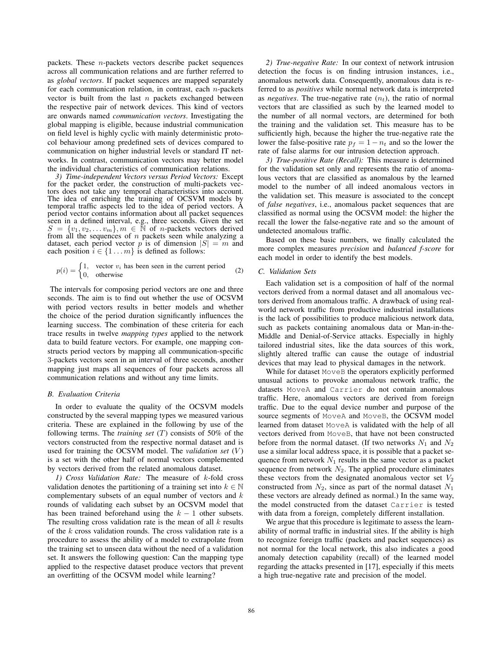packets. These  $n$ -packets vectors describe packet sequences across all communication relations and are further referred to as *global vectors*. If packet sequences are mapped separately for each communication relation, in contrast, each  $n$ -packets vector is built from the last  $n$  packets exchanged between the respective pair of network devices. This kind of vectors are onwards named *communication vectors*. Investigating the global mapping is eligible, because industrial communication on field level is highly cyclic with mainly deterministic protocol behaviour among predefined sets of devices compared to communication on higher industrial levels or standard IT networks. In contrast, communication vectors may better model the individual characteristics of communication relations.

*3) Time-independent Vectors versus Period Vectors:* Except for the packet order, the construction of multi-packets vectors does not take any temporal characteristics into account. The idea of enriching the training of OCSVM models by temporal traffic aspects led to the idea of period vectors. A period vector contains information about all packet sequences seen in a defined interval, e.g., three seconds. Given the set  $S = \{v_1, v_2, \dots v_m\}, m \in \mathbb{N}$  of *n*-packets vectors derived from all the sequences of  $n$  packets seen while analyzing a dataset, each period vector p is of dimension  $|S| = m$  and each position  $i \in \{1 \dots m\}$  is defined as follows:

$$
p(i) = \begin{cases} 1, & \text{vector } v_i \text{ has been seen in the current period} \\ 0, & \text{otherwise} \end{cases} \tag{2}
$$

The intervals for composing period vectors are one and three seconds. The aim is to find out whether the use of OCSVM with period vectors results in better models and whether the choice of the period duration significantly influences the learning success. The combination of these criteria for each trace results in twelve *mapping types* applied to the network data to build feature vectors. For example, one mapping constructs period vectors by mapping all communication-specific 3-packets vectors seen in an interval of three seconds, another mapping just maps all sequences of four packets across all communication relations and without any time limits.

#### *B. Evaluation Criteria*

In order to evaluate the quality of the OCSVM models constructed by the several mapping types we measured various criteria. These are explained in the following by use of the following terms. The *training set* (T) consists of 50% of the vectors constructed from the respective normal dataset and is used for training the OCSVM model. The *validation set* (V) is a set with the other half of normal vectors complemented by vectors derived from the related anomalous dataset.

*1) Cross Validation Rate:* The measure of k-fold cross validation denotes the partitioning of a training set into  $k \in \mathbb{N}$ complementary subsets of an equal number of vectors and  $k$ rounds of validating each subset by an OCSVM model that has been trained beforehand using the  $k - 1$  other subsets. The resulting cross validation rate is the mean of all  $k$  results of the k cross validation rounds. The cross validation rate is a procedure to assess the ability of a model to extrapolate from the training set to unseen data without the need of a validation set. It answers the following question: Can the mapping type applied to the respective dataset produce vectors that prevent an overfitting of the OCSVM model while learning?

*2) True-negative Rate:* In our context of network intrusion detection the focus is on finding intrusion instances, i.e., anomalous network data. Consequently, anomalous data is referred to as *positives* while normal network data is interpreted as *negatives*. The true-negative rate  $(n_t)$ , the ratio of normal vectors that are classified as such by the learned model to the number of all normal vectors, are determined for both the training and the validation set. This measure has to be sufficiently high, because the higher the true-negative rate the lower the false-positive rate  $p_f = 1 - n_t$  and so the lower the rate of false alarms for our intrusion detection approach.

*3) True-positive Rate (Recall):* This measure is determined for the validation set only and represents the ratio of anomalous vectors that are classified as anomalous by the learned model to the number of all indeed anomalous vectors in the validation set. This measure is associated to the concept of *false negatives*, i.e., anomalous packet sequences that are classified as normal using the OCSVM model: the higher the recall the lower the false-negative rate and so the amount of undetected anomalous traffic.

Based on these basic numbers, we finally calculated the more complex measures *precision* and *balanced f-score* for each model in order to identify the best models.

#### *C. Validation Sets*

Each validation set is a composition of half of the normal vectors derived from a normal dataset and all anomalous vectors derived from anomalous traffic. A drawback of using realworld network traffic from productive industrial installations is the lack of possibilities to produce malicious network data, such as packets containing anomalous data or Man-in-the-Middle and Denial-of-Service attacks. Especially in highly tailored industrial sites, like the data sources of this work, slightly altered traffic can cause the outage of industrial devices that may lead to physical damages in the network.

While for dataset MoveB the operators explicitly performed unusual actions to provoke anomalous network traffic, the datasets MoveA and Carrier do not contain anomalous traffic. Here, anomalous vectors are derived from foreign traffic. Due to the equal device number and purpose of the source segments of MoveA and MoveB, the OCSVM model learned from dataset MoveA is validated with the help of all vectors derived from MoveB, that have not been constructed before from the normal dataset. (If two networks  $N_1$  and  $N_2$ use a similar local address space, it is possible that a packet sequence from network  $N_1$  results in the same vector as a packet sequence from network  $N_2$ . The applied procedure eliminates these vectors from the designated anomalous vector set  $V_2$ constructed from  $N_2$ , since as part of the normal dataset  $N_1$ these vectors are already defined as normal.) In the same way, the model constructed from the dataset Carrier is tested with data from a foreign, completely different installation.

We argue that this procedure is legitimate to assess the learnability of normal traffic in industrial sites. If the ability is high to recognize foreign traffic (packets and packet sequences) as not normal for the local network, this also indicates a good anomaly detection capability (recall) of the learned model regarding the attacks presented in [17], especially if this meets a high true-negative rate and precision of the model.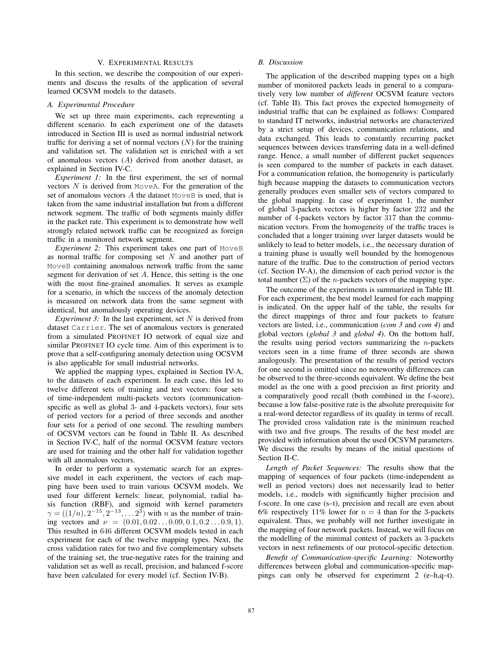# V. EXPERIMENTAL RESULTS

In this section, we describe the composition of our experiments and discuss the results of the application of several learned OCSVM models to the datasets.

# *A. Experimental Procedure*

We set up three main experiments, each representing a different scenario. In each experiment one of the datasets introduced in Section III is used as normal industrial network traffic for deriving a set of normal vectors  $(N)$  for the training and validation set. The validation set is enriched with a set of anomalous vectors (A) derived from another dataset, as explained in Section IV-C.

*Experiment 1:* In the first experiment, the set of normal vectors  $N$  is derived from Move A. For the generation of the set of anomalous vectors  $A$  the dataset MoveB is used, that is taken from the same industrial installation but from a different network segment. The traffic of both segments mainly differ in the packet rate. This experiment is to demonstrate how well strongly related network traffic can be recognized as foreign traffic in a monitored network segment.

*Experiment 2:* This experiment takes one part of MoveB as normal traffic for composing set  $N$  and another part of MoveB containing anomalous network traffic from the same segment for derivation of set A. Hence, this setting is the one with the most fine-grained anomalies. It serves as example for a scenario, in which the success of the anomaly detection is measured on network data from the same segment with identical, but anomalously operating devices.

*Experiment 3:* In the last experiment, set N is derived from dataset Carrier. The set of anomalous vectors is generated from a simulated PROFINET IO network of equal size and similar PROFINET IO cycle time. Aim of this experiment is to prove that a self-configuring anomaly detection using OCSVM is also applicable for small industrial networks.

We applied the mapping types, explained in Section IV-A, to the datasets of each experiment. In each case, this led to twelve different sets of training and test vectors: four sets of time-independent multi-packets vectors (communicationspecific as well as global 3- and 4-packets vectors), four sets of period vectors for a period of three seconds and another four sets for a period of one second. The resulting numbers of OCSVM vectors can be found in Table II. As described in Section IV-C, half of the normal OCSVM feature vectors are used for training and the other half for validation together with all anomalous vectors.

In order to perform a systematic search for an expressive model in each experiment, the vectors of each mapping have been used to train various OCSVM models. We used four different kernels: linear, polynomial, radial basis function (RBF), and sigmoid with kernel parameters  $\gamma = ((1/n), 2^{-15}, 2^{-13}, \ldots, 2^{3})$  with *n* as the number of training vectors and  $\nu = (0.01, 0.02 \dots 0.09, 0.1, 0.2 \dots 0.9, 1).$ This resulted in 646 different OCSVM models tested in each experiment for each of the twelve mapping types. Next, the cross validation rates for two and five complementary subsets of the training set, the true-negative rates for the training and validation set as well as recall, precision, and balanced f-score have been calculated for every model (cf. Section IV-B).

# *B. Discussion*

The application of the described mapping types on a high number of monitored packets leads in general to a comparatively very low number of *different* OCSVM feature vectors (cf. Table II). This fact proves the expected homogeneity of industrial traffic that can be explained as follows: Compared to standard IT networks, industrial networks are characterized by a strict setup of devices, communication relations, and data exchanged. This leads to constantly recurring packet sequences between devices transferring data in a well-defined range. Hence, a small number of different packet sequences is seen compared to the number of packets in each dataset. For a communication relation, the homogeneity is particularly high because mapping the datasets to communication vectors generally produces even smaller sets of vectors compared to the global mapping. In case of experiment 1, the number of global 3-packets vectors is higher by factor 232 and the number of 4-packets vectors by factor 317 than the communication vectors. From the homogeneity of the traffic traces is concluded that a longer training over larger datasets would be unlikely to lead to better models, i.e., the necessary duration of a training phase is usually well bounded by the homogenous nature of the traffic. Due to the construction of period vectors (cf. Section IV-A), the dimension of each period vector is the total number  $(\Sigma)$  of the *n*-packets vectors of the mapping type.

The outcome of the experiments is summarized in Table III. For each experiment, the best model learned for each mapping is indicated. On the upper half of the table, the results for the direct mappings of three and four packets to feature vectors are listed, i.e., communication (*com 3* and *com 4*) and global vectors (*global 3* and *global 4*). On the bottom half, the results using period vectors summarizing the  $n$ -packets vectors seen in a time frame of three seconds are shown analogously. The presentation of the results of period vectors for one second is omitted since no noteworthy differences can be observed to the three-seconds equivalent. We define the best model as the one with a good precision as first priority and a comparatively good recall (both combined in the f-score), because a low false-positive rate is the absolute prerequisite for a real-word detector regardless of its quality in terms of recall. The provided cross validation rate is the minimum reached with two and five groups. The results of the best model are provided with information about the used OCSVM parameters. We discuss the results by means of the initial questions of Section II-C.

*Length of Packet Sequences:* The results show that the mapping of sequences of four packets (time-independent as well as period vectors) does not necessarily lead to better models, i.e., models with significantly higher precision and f-score. In one case (s–t), precision and recall are even about 6% respectively 11% lower for  $n = 4$  than for the 3-packets equivalent. Thus, we probably will not further investigate in the mapping of four network packets. Instead, we will focus on the modelling of the minimal context of packets as 3-packets vectors in next refinements of our protocol-specific detection.

*Benefit of Communication-specific Learning:* Noteworthy differences between global and communication-specific mappings can only be observed for experiment 2 (e–h,q–t).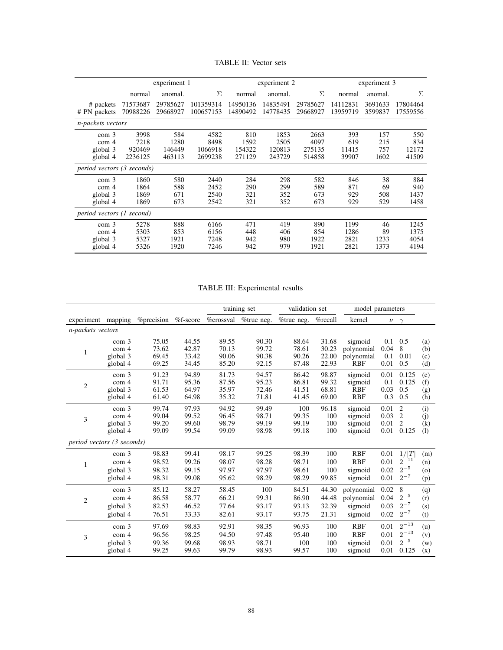| TABLE II: Vector sets |
|-----------------------|
|                       |

|                                                                                                                                                                                                                                                                                                            |                              | experiment 1               |                              |                          | experiment 2             |                            | experiment 3                 |                          |                              |  |
|------------------------------------------------------------------------------------------------------------------------------------------------------------------------------------------------------------------------------------------------------------------------------------------------------------|------------------------------|----------------------------|------------------------------|--------------------------|--------------------------|----------------------------|------------------------------|--------------------------|------------------------------|--|
|                                                                                                                                                                                                                                                                                                            | normal                       | anomal.                    | Σ                            | normal                   | anomal.                  | Σ                          | normal                       | anomal.                  |                              |  |
| # packets<br># PN packets                                                                                                                                                                                                                                                                                  | 71573687<br>70988226         | 29785627<br>29668927       | 101359314<br>100657153       | 14950136<br>14890492     | 14835491<br>14778435     | 29785627<br>29668927       | 14112831<br>13959719         | 3691633<br>3599837       | 17804464<br>17559556         |  |
| <i>n-packets vectors</i><br>810<br>3998<br>584<br>4582<br>1853<br>2663<br>393<br>157<br>550<br>com <sub>3</sub><br>1280<br>4097<br>215<br>7218<br>8498<br>1592<br>2505<br>619<br>834<br>com <sub>4</sub><br>1066918<br>154322<br>120813<br>275135<br>11415<br>757<br>12172<br>global 3<br>920469<br>146449 |                              |                            |                              |                          |                          |                            |                              |                          |                              |  |
| global 4                                                                                                                                                                                                                                                                                                   | 2236125                      | 463113                     | 2699238                      | 271129                   | 243729                   | 514858                     | 39907                        | 1602                     | 41509                        |  |
| <i>period vectors (3 seconds)</i><br>38<br>580<br>2440<br>284<br>298<br>582<br>846<br>com <sub>3</sub><br>1860<br>588<br>2452<br>290<br>589<br>69<br>1864<br>299<br>871<br>com <sub>4</sub>                                                                                                                |                              |                            |                              |                          |                          |                            |                              |                          |                              |  |
| global 3<br>global 4                                                                                                                                                                                                                                                                                       | 1869<br>1869                 | 671<br>673                 | 2540<br>2542                 | 321<br>321               | 352<br>352               | 673<br>673                 | 929<br>929                   | 508<br>529               | 884<br>940<br>1437<br>1458   |  |
| period vectors (1 second)                                                                                                                                                                                                                                                                                  |                              |                            |                              |                          |                          |                            |                              |                          |                              |  |
| com <sub>3</sub><br>com <sub>4</sub><br>global 3<br>global 4                                                                                                                                                                                                                                               | 5278<br>5303<br>5327<br>5326 | 888<br>853<br>1921<br>1920 | 6166<br>6156<br>7248<br>7246 | 471<br>448<br>942<br>942 | 419<br>406<br>980<br>979 | 890<br>854<br>1922<br>1921 | 1199<br>1286<br>2821<br>2821 | 46<br>89<br>1233<br>1373 | 1245<br>1375<br>4054<br>4194 |  |

# TABLE III: Experimental results

|                            |                  |                                              | training set |       | validation set |            | model parameters |            |      |                |         |
|----------------------------|------------------|----------------------------------------------|--------------|-------|----------------|------------|------------------|------------|------|----------------|---------|
| experiment mapping         |                  | % precision % f-score % crossval % true neg. |              |       |                | %true neg. | %recall          | kernel     |      | $\nu \gamma$   |         |
| n-packets vectors          |                  |                                              |              |       |                |            |                  |            |      |                |         |
|                            | com 3            | 75.05                                        | 44.55        | 89.55 | 90.30          | 88.64      | 31.68            | sigmoid    | 0.1  | 0.5            | (a)     |
| 1                          | com 4            | 73.62                                        | 42.87        | 70.13 | 99.72          | 78.61      | 30.23            | polynomial | 0.04 | 8              | (b)     |
|                            | global 3         | 69.45                                        | 33.42        | 90.06 | 90.38          | 90.26      | 22.00            | polynomial | 0.1  | 0.01           | (c)     |
|                            | global 4         | 69.25                                        | 34.45        | 85.20 | 92.15          | 87.48      | 22.93            | <b>RBF</b> | 0.01 | 0.5            | (d)     |
| 2                          | com 3            | 91.23                                        | 94.89        | 81.73 | 94.57          | 86.42      | 98.87            | sigmoid    | 0.01 | 0.125          | (e)     |
|                            | com 4            | 91.71                                        | 95.36        | 87.56 | 95.23          | 86.81      | 99.32            | sigmoid    | 0.1  | 0.125          | (f)     |
|                            | global 3         | 61.53                                        | 64.97        | 35.97 | 72.46          | 41.51      | 68.81            | <b>RBF</b> | 0.03 | 0.5            | (g)     |
|                            | global 4         | 61.40                                        | 64.98        | 35.32 | 71.81          | 41.45      | 69.00            | <b>RBF</b> | 0.3  | 0.5            | (h)     |
| 3                          | com 3            | 99.74                                        | 97.93        | 94.92 | 99.49          | 100        | 96.18            | sigmoid    | 0.01 | $\overline{2}$ | (i)     |
|                            | com <sub>4</sub> | 99.04                                        | 99.52        | 96.45 | 98.71          | 99.35      | 100              | sigmoid    | 0.03 | 2              | (i)     |
|                            | global 3         | 99.20                                        | 99.60        | 98.79 | 99.19          | 99.19      | 100              | sigmoid    | 0.01 | $\overline{c}$ | (k)     |
|                            | global 4         | 99.09                                        | 99.54        | 99.09 | 98.98          | 99.18      | 100              | sigmoid    | 0.01 | 0.125          | (1)     |
| period vectors (3 seconds) |                  |                                              |              |       |                |            |                  |            |      |                |         |
|                            | com 3            | 98.83                                        | 99.41        | 98.17 | 99.25          | 98.39      | 100              | <b>RBF</b> | 0.01 | 1/ T           | (m)     |
|                            | com <sub>4</sub> | 98.52                                        | 99.26        | 98.07 | 98.28          | 98.71      | 100              | <b>RBF</b> | 0.01 | $2^{-11}$      | (n)     |
|                            | global 3         | 98.32                                        | 99.15        | 97.97 | 97.97          | 98.61      | 100              | sigmoid    | 0.02 | $2^{-5}$       | $\circ$ |
|                            | global 4         | 98.31                                        | 99.08        | 95.62 | 98.29          | 98.29      | 99.85            | sigmoid    | 0.01 | $2^{-7}$       | (p)     |
|                            | com 3            | 85.12                                        | 58.27        | 58.45 | 100            | 84.51      | 44.30            | polynomial | 0.02 | 8              | (q)     |
|                            | com 4            | 86.58                                        | 58.77        | 66.21 | 99.31          | 86.90      | 44.48            | polynomial | 0.04 | $2^{-5}$       | (r)     |
| 2                          | global 3         | 82.53                                        | 46.52        | 77.64 | 93.17          | 93.13      | 32.39            | sigmoid    | 0.03 | $2^{-7}$       | (s)     |
|                            | global 4         | 76.51                                        | 33.33        | 82.61 | 93.17          | 93.75      | 21.31            | sigmoid    | 0.02 | $2^{-7}$       | (t)     |
|                            |                  |                                              |              |       |                |            |                  |            |      |                |         |
|                            | com 3            | 97.69                                        | 98.83        | 92.91 | 98.35          | 96.93      | 100              | <b>RBF</b> | 0.01 | $2^{-13}$      | (u)     |
| 3                          | com 4            | 96.56                                        | 98.25        | 94.50 | 97.48          | 95.40      | 100              | <b>RBF</b> | 0.01 | $2^{-13}$      | (v)     |
|                            | global 3         | 99.36                                        | 99.68        | 98.93 | 98.71          | 100        | 100              | sigmoid    | 0.01 | $2^{-5}$       | (w)     |
|                            | global 4         | 99.25                                        | 99.63        | 99.79 | 98.93          | 99.57      | 100              | sigmoid    | 0.01 | 0.125          | (x)     |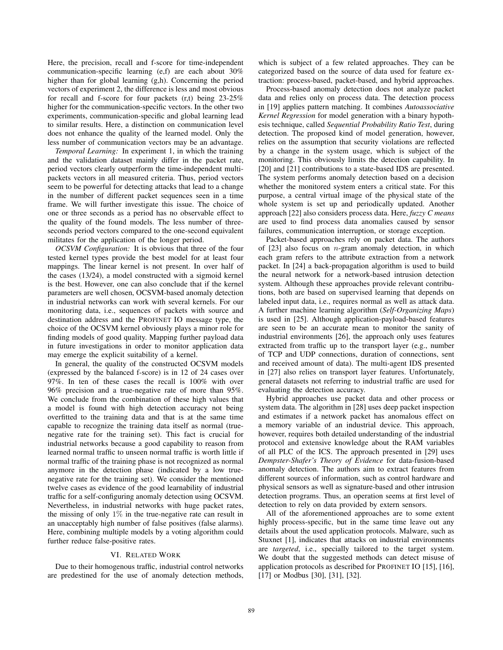Here, the precision, recall and f-score for time-independent communication-specific learning (e,f) are each about 30% higher than for global learning (g,h). Concerning the period vectors of experiment 2, the difference is less and most obvious for recall and f-score for four packets (r,t) being 23-25% higher for the communication-specific vectors. In the other two experiments, communication-specific and global learning lead to similar results. Here, a distinction on communication level does not enhance the quality of the learned model. Only the less number of communication vectors may be an advantage.

*Temporal Learning:* In experiment 1, in which the training and the validation dataset mainly differ in the packet rate, period vectors clearly outperform the time-independent multipackets vectors in all measured criteria. Thus, period vectors seem to be powerful for detecting attacks that lead to a change in the number of different packet sequences seen in a time frame. We will further investigate this issue. The choice of one or three seconds as a period has no observable effect to the quality of the found models. The less number of threeseconds period vectors compared to the one-second equivalent militates for the application of the longer period.

*OCSVM Configuration:* It is obvious that three of the four tested kernel types provide the best model for at least four mappings. The linear kernel is not present. In over half of the cases (13/24), a model constructed with a sigmoid kernel is the best. However, one can also conclude that if the kernel parameters are well chosen, OCSVM-based anomaly detection in industrial networks can work with several kernels. For our monitoring data, i.e., sequences of packets with source and destination address and the PROFINET IO message type, the choice of the OCSVM kernel obviously plays a minor role for finding models of good quality. Mapping further payload data in future investigations in order to monitor application data may emerge the explicit suitability of a kernel.

In general, the quality of the constructed OCSVM models (expressed by the balanced f-score) is in 12 of 24 cases over 97%. In ten of these cases the recall is 100% with over 96% precision and a true-negative rate of more than 95%. We conclude from the combination of these high values that a model is found with high detection accuracy not being overfitted to the training data and that is at the same time capable to recognize the training data itself as normal (truenegative rate for the training set). This fact is crucial for industrial networks because a good capability to reason from learned normal traffic to unseen normal traffic is worth little if normal traffic of the training phase is not recognized as normal anymore in the detection phase (indicated by a low truenegative rate for the training set). We consider the mentioned twelve cases as evidence of the good learnability of industrial traffic for a self-configuring anomaly detection using OCSVM. Nevertheless, in industrial networks with huge packet rates, the missing of only  $1\%$  in the true-negative rate can result in an unacceptably high number of false positives (false alarms). Here, combining multiple models by a voting algorithm could further reduce false-positive rates.

# VI. RELATED WORK

Due to their homogenous traffic, industrial control networks are predestined for the use of anomaly detection methods, which is subject of a few related approaches. They can be categorized based on the source of data used for feature extraction: process-based, packet-based, and hybrid approaches.

Process-based anomaly detection does not analyze packet data and relies only on process data. The detection process in [19] applies pattern matching. It combines *Autoassociative Kernel Regression* for model generation with a binary hypothesis technique, called *Sequential Probability Ratio Test*, during detection. The proposed kind of model generation, however, relies on the assumption that security violations are reflected by a change in the system usage, which is subject of the monitoring. This obviously limits the detection capability. In [20] and [21] contributions to a state-based IDS are presented. The system performs anomaly detection based on a decision whether the monitored system enters a critical state. For this purpose, a central virtual image of the physical state of the whole system is set up and periodically updated. Another approach [22] also considers process data. Here, *fuzzy C means* are used to find process data anomalies caused by sensor failures, communication interruption, or storage exception.

Packet-based approaches rely on packet data. The authors of  $[23]$  also focus on *n*-gram anomaly detection, in which each gram refers to the attribute extraction from a network packet. In [24] a back-propagation algorithm is used to build the neural network for a network-based intrusion detection system. Although these approaches provide relevant contributions, both are based on supervised learning that depends on labeled input data, i.e., requires normal as well as attack data. A further machine learning algorithm (*Self-Organizing Maps*) is used in [25]. Although application-payload-based features are seen to be an accurate mean to monitor the sanity of industrial environments [26], the approach only uses features extracted from traffic up to the transport layer (e.g., number of TCP and UDP connections, duration of connections, sent and received amount of data). The multi-agent IDS presented in [27] also relies on transport layer features. Unfortunately, general datasets not referring to industrial traffic are used for evaluating the detection accuracy.

Hybrid approaches use packet data and other process or system data. The algorithm in [28] uses deep packet inspection and estimates if a network packet has anomalous effect on a memory variable of an industrial device. This approach, however, requires both detailed understanding of the industrial protocol and extensive knowledge about the RAM variables of all PLC of the ICS. The approach presented in [29] uses *Dempster-Shafer's Theory of Evidence* for data-fusion-based anomaly detection. The authors aim to extract features from different sources of information, such as control hardware and physical sensors as well as signature-based and other intrusion detection programs. Thus, an operation seems at first level of detection to rely on data provided by extern sensors.

All of the aforementioned approaches are to some extent highly process-specific, but in the same time leave out any details about the used application protocols. Malware, such as Stuxnet [1], indicates that attacks on industrial environments are *targeted*, i.e., specially tailored to the target system. We doubt that the suggested methods can detect misuse of application protocols as described for PROFINET IO [15], [16], [17] or Modbus [30], [31], [32].